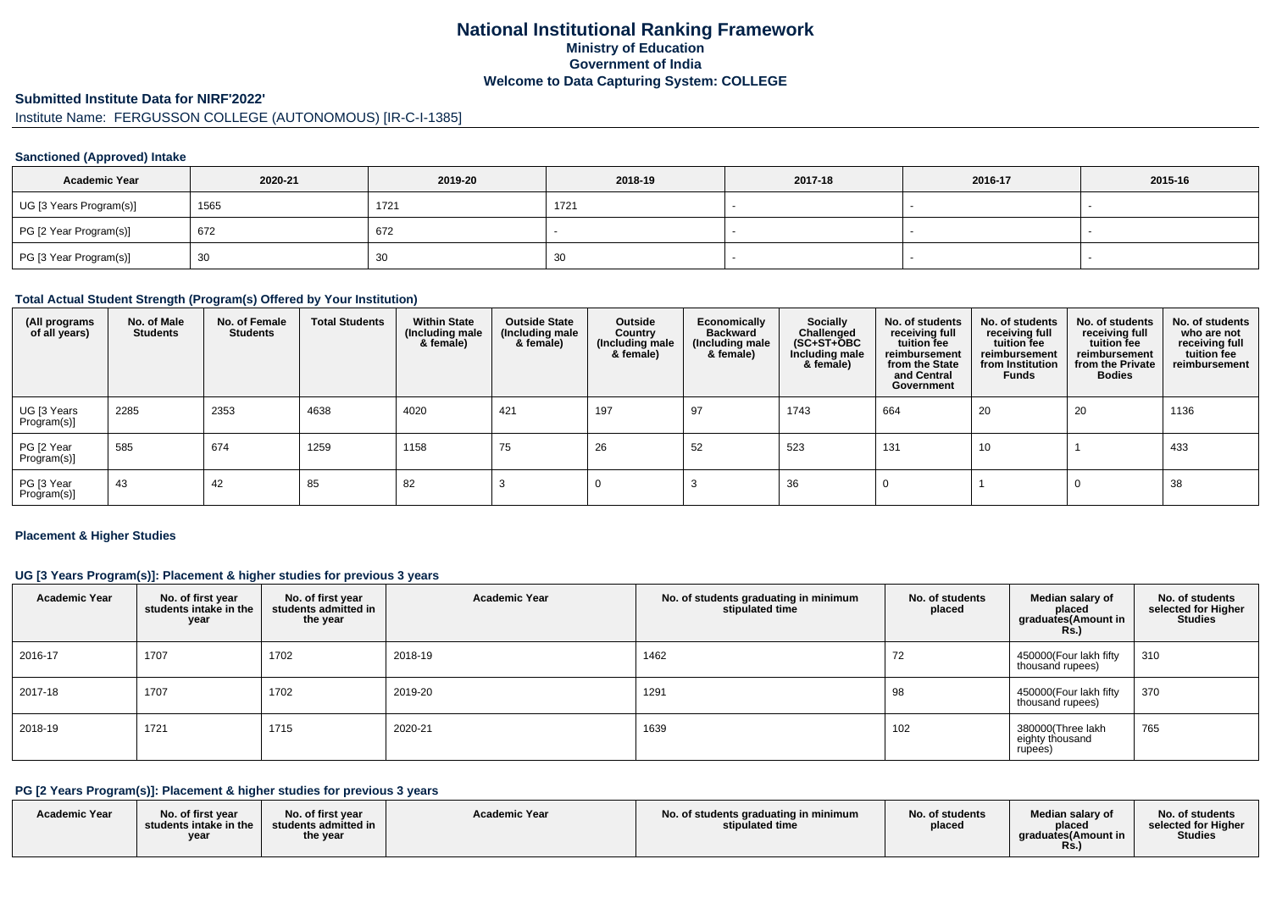# **National Institutional Ranking FrameworkMinistry of Education Government of IndiaWelcome to Data Capturing System: COLLEGE**

# **Submitted Institute Data for NIRF'2022'**

# Institute Name: FERGUSSON COLLEGE (AUTONOMOUS) [IR-C-I-1385]

#### **Sanctioned (Approved) Intake**

| <b>Academic Year</b>    | 2020-21 | 2019-20 | 2018-19 | 2017-18 | 2016-17 | 2015-16 |
|-------------------------|---------|---------|---------|---------|---------|---------|
| UG [3 Years Program(s)] | 1565    | 1721    | 1721    |         |         |         |
| PG [2 Year Program(s)]  | 672     | 672     |         |         |         |         |
| PG [3 Year Program(s)]  | 30      | 30      | 30      |         |         |         |

#### **Total Actual Student Strength (Program(s) Offered by Your Institution)**

| (All programs<br>of all years) | No. of Male<br><b>Students</b> | No. of Female<br><b>Students</b> | <b>Total Students</b> | <b>Within State</b><br>(Including male<br>& female) | <b>Outside State</b><br>(Including male<br>& female) | Outside<br>Country<br>(Including male<br>& female) | Economically<br><b>Backward</b><br>(Including male<br>& female) | Socially<br>Challenged<br>$(SC+ST+\overline{O}BC)$<br>Including male<br>& female) | No. of students<br>receiving full<br>tuition fee<br>reimbursement<br>from the State<br>and Central<br>Government | No. of students<br>receiving full<br>tuition fee<br>reimbursement<br>from Institution<br><b>Funds</b> | No. of students<br>receiving full<br>tuition fee<br>reimbursement<br>from the Private<br><b>Bodies</b> | No. of students<br>who are not<br>receiving full<br>tuition fee<br>reimbursement |
|--------------------------------|--------------------------------|----------------------------------|-----------------------|-----------------------------------------------------|------------------------------------------------------|----------------------------------------------------|-----------------------------------------------------------------|-----------------------------------------------------------------------------------|------------------------------------------------------------------------------------------------------------------|-------------------------------------------------------------------------------------------------------|--------------------------------------------------------------------------------------------------------|----------------------------------------------------------------------------------|
| UG [3 Years<br>Program(s)]     | 2285                           | 2353                             | 4638                  | 4020                                                | 421                                                  | 197                                                | 97                                                              | 1743                                                                              | 664                                                                                                              | 20                                                                                                    | 20                                                                                                     | 1136                                                                             |
| PG [2 Year<br>Program(s)]      | 585                            | 674                              | 1259                  | 1158                                                | 75                                                   | 26                                                 | 52                                                              | 523                                                                               | 131                                                                                                              | 10                                                                                                    |                                                                                                        | 433                                                                              |
| PG [3 Year<br>Program(s)]      | 43                             | 42                               | 85                    | 82                                                  |                                                      |                                                    |                                                                 | 36                                                                                |                                                                                                                  |                                                                                                       |                                                                                                        | 38                                                                               |

#### **Placement & Higher Studies**

#### **UG [3 Years Program(s)]: Placement & higher studies for previous 3 years**

| <b>Academic Year</b> | No. of first year<br>students intake in the<br>year | No. of first year<br>students admitted in<br>the year | <b>Academic Year</b> | No. of students graduating in minimum<br>stipulated time | No. of students<br>placed | Median salary of<br>placed<br>graduates(Amount in<br><b>Rs.)</b> | No. of students<br>selected for Higher<br><b>Studies</b> |
|----------------------|-----------------------------------------------------|-------------------------------------------------------|----------------------|----------------------------------------------------------|---------------------------|------------------------------------------------------------------|----------------------------------------------------------|
| 2016-17              | 1707                                                | 1702                                                  | 2018-19              | 1462                                                     | 72                        | 450000(Four lakh fifty<br>thousand rupees)                       | 310                                                      |
| 2017-18              | 1707                                                | 1702                                                  | 2019-20              | 1291                                                     | 98                        | 450000(Four lakh fifty<br>thousand rupees)                       | 370                                                      |
| 2018-19              | 1721                                                | 1715                                                  | 2020-21              | 1639                                                     | 102                       | 380000(Three lakh<br>eighty thousand<br>rupees)                  | 765                                                      |

### **PG [2 Years Program(s)]: Placement & higher studies for previous 3 years**

| <b>Academic Year</b> | No. of first year<br>students intake in the<br>year | No. of first year<br>$\blacksquare$ students admitted in $\blacksquare$<br>the year | <b>Academic Year</b> | No. of students graduating in minimum<br>stipulated time | No. of students<br>placed | Median salary of<br>placed<br>araduates(Amount in<br><b>Rs.</b> ) | No. of students<br>selected for Higher<br><b>Studies</b> |
|----------------------|-----------------------------------------------------|-------------------------------------------------------------------------------------|----------------------|----------------------------------------------------------|---------------------------|-------------------------------------------------------------------|----------------------------------------------------------|
|----------------------|-----------------------------------------------------|-------------------------------------------------------------------------------------|----------------------|----------------------------------------------------------|---------------------------|-------------------------------------------------------------------|----------------------------------------------------------|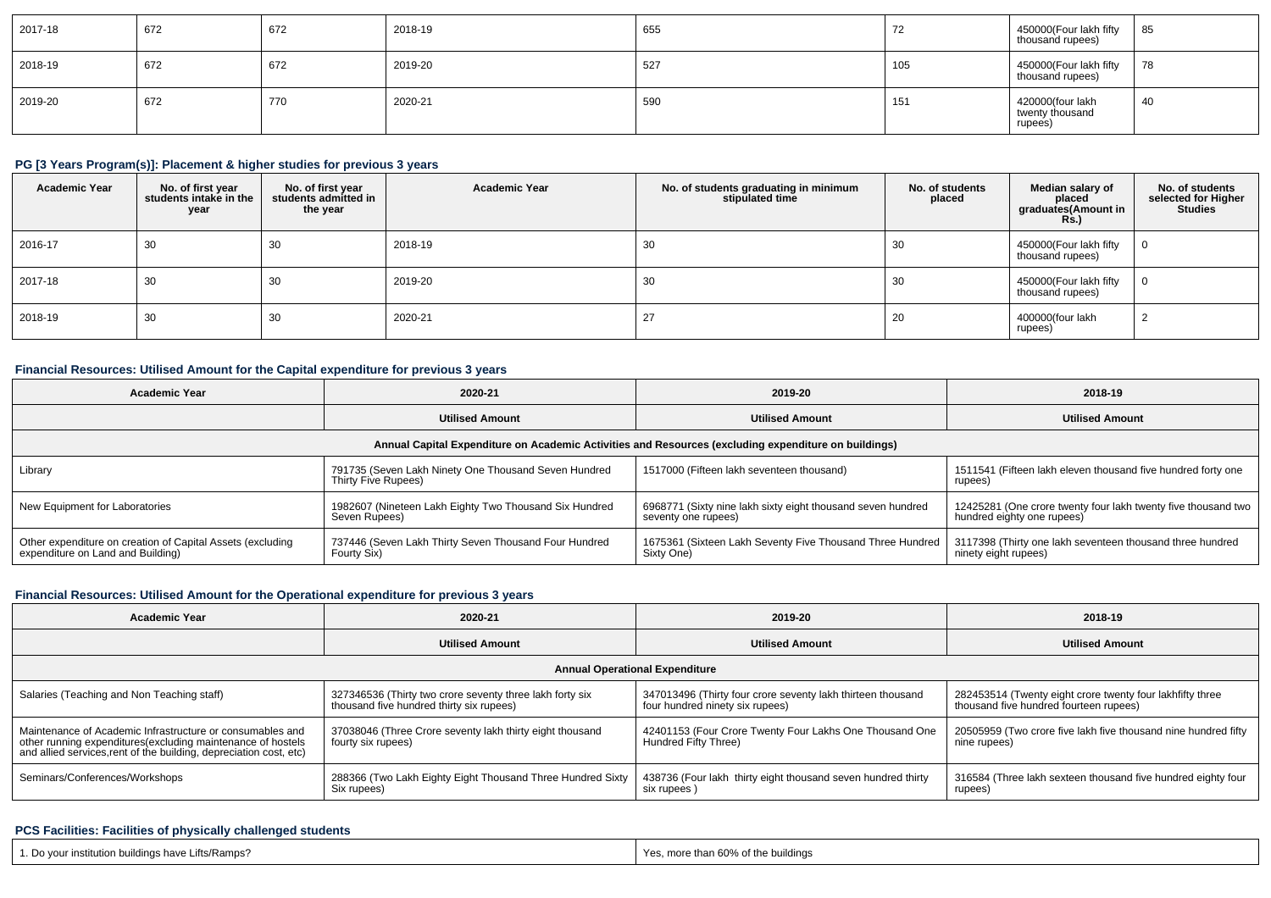| 2017-18 | 672 | 672 | 2018-19 | 655 | 70<br>$\sqrt{2}$ | 450000 (Four lakh fifty<br>thousand rupees)    | 85 |
|---------|-----|-----|---------|-----|------------------|------------------------------------------------|----|
| 2018-19 | 672 | 672 | 2019-20 | 527 | 105              | 450000(Four lakh fifty<br>thousand rupees)     | 78 |
| 2019-20 | 672 | 770 | 2020-21 | 590 | 151              | 420000(four lakh<br>twenty thousand<br>rupees) | 40 |

## **PG [3 Years Program(s)]: Placement & higher studies for previous 3 years**

| <b>Academic Year</b> | No. of first year<br>students intake in the<br>year | No. of first year<br>students admitted in<br>the year | <b>Academic Year</b> | No. of students graduating in minimum<br>stipulated time | No. of students<br>placed | Median salary of<br>placed<br>graduates(Amount in<br><b>Rs.</b> ) | No. of students<br>selected for Higher<br><b>Studies</b> |
|----------------------|-----------------------------------------------------|-------------------------------------------------------|----------------------|----------------------------------------------------------|---------------------------|-------------------------------------------------------------------|----------------------------------------------------------|
| 2016-17              | 30                                                  | 30                                                    | 2018-19              | 30                                                       | 3U                        | 450000(Four lakh fifty<br>thousand rupees)                        |                                                          |
| 2017-18              | 30                                                  | 30                                                    | 2019-20              | 30                                                       | - 30                      | 450000(Four lakh fifty<br>thousand rupees)                        |                                                          |
| 2018-19              | 30                                                  | 30                                                    | 2020-21              |                                                          | 20                        | 400000(four lakh<br>rupees)                                       |                                                          |

## **Financial Resources: Utilised Amount for the Capital expenditure for previous 3 years**

| <b>Academic Year</b>                                                                                 | 2020-21                                                                     | 2019-20                                                                            | 2018-19                                                                                     |  |  |  |  |  |  |
|------------------------------------------------------------------------------------------------------|-----------------------------------------------------------------------------|------------------------------------------------------------------------------------|---------------------------------------------------------------------------------------------|--|--|--|--|--|--|
|                                                                                                      | <b>Utilised Amount</b>                                                      | <b>Utilised Amount</b>                                                             | <b>Utilised Amount</b>                                                                      |  |  |  |  |  |  |
| Annual Capital Expenditure on Academic Activities and Resources (excluding expenditure on buildings) |                                                                             |                                                                                    |                                                                                             |  |  |  |  |  |  |
| Library                                                                                              | 791735 (Seven Lakh Ninety One Thousand Seven Hundred<br>Thirty Five Rupees) | 1517000 (Fifteen lakh seventeen thousand)                                          | 1511541 (Fifteen lakh eleven thousand five hundred forty one<br>rupees)                     |  |  |  |  |  |  |
| New Equipment for Laboratories                                                                       | 1982607 (Nineteen Lakh Eighty Two Thousand Six Hundred<br>Seven Rupees)     | 6968771 (Sixty nine lakh sixty eight thousand seven hundred<br>seventy one rupees) | 12425281 (One crore twenty four lakh twenty five thousand two<br>hundred eighty one rupees) |  |  |  |  |  |  |
| Other expenditure on creation of Capital Assets (excluding<br>expenditure on Land and Building)      | 737446 (Seven Lakh Thirty Seven Thousand Four Hundred<br>Fourty Six)        | 1675361 (Sixteen Lakh Seventy Five Thousand Three Hundred<br>Sixty One             | 3117398 (Thirty one lakh seventeen thousand three hundred<br>ninety eight rupees)           |  |  |  |  |  |  |

### **Financial Resources: Utilised Amount for the Operational expenditure for previous 3 years**

| <b>Academic Year</b>                                                                                                                                                                            | 2020-21                                                                                              | 2019-20                                                                                        | 2018-19                                                                                             |  |  |  |  |  |  |
|-------------------------------------------------------------------------------------------------------------------------------------------------------------------------------------------------|------------------------------------------------------------------------------------------------------|------------------------------------------------------------------------------------------------|-----------------------------------------------------------------------------------------------------|--|--|--|--|--|--|
|                                                                                                                                                                                                 | <b>Utilised Amount</b>                                                                               |                                                                                                | <b>Utilised Amount</b>                                                                              |  |  |  |  |  |  |
| <b>Annual Operational Expenditure</b>                                                                                                                                                           |                                                                                                      |                                                                                                |                                                                                                     |  |  |  |  |  |  |
| Salaries (Teaching and Non Teaching staff)                                                                                                                                                      | 327346536 (Thirty two crore seventy three lakh forty six<br>thousand five hundred thirty six rupees) | 347013496 (Thirty four crore seventy lakh thirteen thousand<br>four hundred ninety six rupees) | 282453514 (Twenty eight crore twenty four lakhfifty three<br>thousand five hundred fourteen rupees) |  |  |  |  |  |  |
| Maintenance of Academic Infrastructure or consumables and<br>other running expenditures (excluding maintenance of hostels<br>and allied services, rent of the building, depreciation cost, etc) | 37038046 (Three Crore seventy lakh thirty eight thousand<br>fourty six rupees)                       | 42401153 (Four Crore Twenty Four Lakhs One Thousand One<br>Hundred Fifty Three)                | 20505959 (Two crore five lakh five thousand nine hundred fifty<br>nine rupees)                      |  |  |  |  |  |  |
| Seminars/Conferences/Workshops                                                                                                                                                                  | 288366 (Two Lakh Eighty Eight Thousand Three Hundred Sixty<br>Six rupees)                            | 438736 (Four lakh thirty eight thousand seven hundred thirty<br>six rupees)                    | 316584 (Three lakh sexteen thousand five hundred eighty four<br>rupees)                             |  |  |  |  |  |  |

#### **PCS Facilities: Facilities of physically challenged students**

| 1. Do your institution buildings have Lifts/Ramps? | Yes, more than 60% of the buildings |
|----------------------------------------------------|-------------------------------------|
|                                                    |                                     |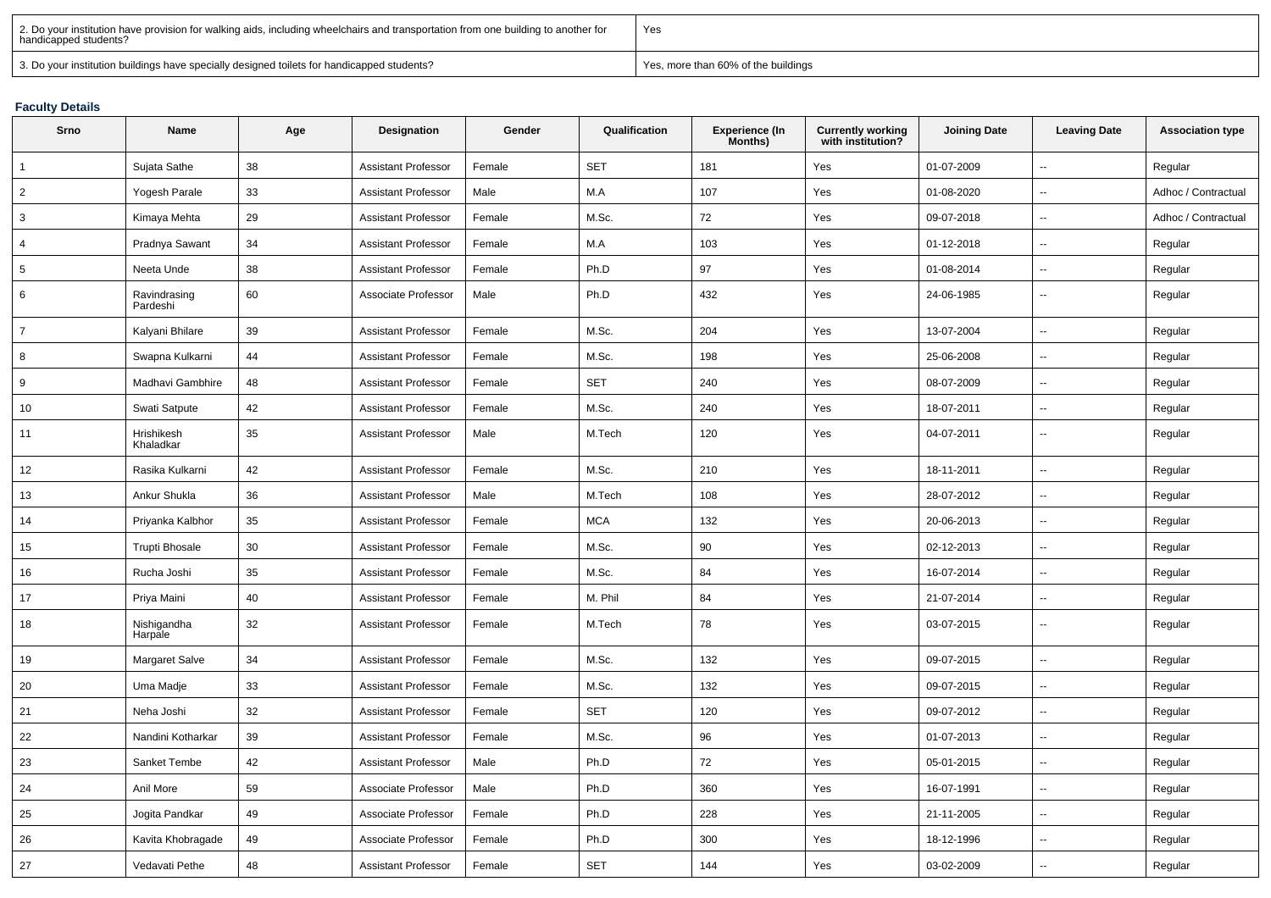| 2. Do your institution have provision for walking aids, including wheelchairs and transportation from one building to another for<br>handicapped students? | Yes                                 |
|------------------------------------------------------------------------------------------------------------------------------------------------------------|-------------------------------------|
| 3. Do your institution buildings have specially designed toilets for handicapped students?                                                                 | Yes, more than 60% of the buildings |

#### **Faculty Details**

| Srno           | Name                     | Age | Designation                | Gender | Qualification | <b>Experience (In</b><br>Months) | <b>Currently working</b><br>with institution? | <b>Joining Date</b> | <b>Leaving Date</b>      | <b>Association type</b> |
|----------------|--------------------------|-----|----------------------------|--------|---------------|----------------------------------|-----------------------------------------------|---------------------|--------------------------|-------------------------|
| $\mathbf{1}$   | Sujata Sathe             | 38  | <b>Assistant Professor</b> | Female | <b>SET</b>    | 181                              | Yes                                           | 01-07-2009          | Ξ.                       | Regular                 |
| 2              | Yogesh Parale            | 33  | <b>Assistant Professor</b> | Male   | M.A           | 107                              | Yes                                           | 01-08-2020          | $\overline{\phantom{a}}$ | Adhoc / Contractual     |
| 3              | Kimaya Mehta             | 29  | <b>Assistant Professor</b> | Female | M.Sc.         | 72                               | Yes                                           | 09-07-2018          | Ξ.                       | Adhoc / Contractual     |
| 4              | Pradnya Sawant           | 34  | <b>Assistant Professor</b> | Female | M.A           | 103                              | Yes                                           | 01-12-2018          | $\mathbf{u}$             | Regular                 |
| 5              | Neeta Unde               | 38  | <b>Assistant Professor</b> | Female | Ph.D          | 97                               | Yes                                           | 01-08-2014          | u.                       | Regular                 |
| 6              | Ravindrasing<br>Pardeshi | 60  | Associate Professor        | Male   | Ph.D          | 432                              | Yes                                           | 24-06-1985          | $\sim$                   | Regular                 |
| $\overline{7}$ | Kalyani Bhilare          | 39  | <b>Assistant Professor</b> | Female | M.Sc.         | 204                              | Yes                                           | 13-07-2004          | $\mathbf{u}$             | Regular                 |
| 8              | Swapna Kulkarni          | 44  | <b>Assistant Professor</b> | Female | M.Sc.         | 198                              | Yes                                           | 25-06-2008          | $\overline{a}$           | Regular                 |
| 9              | Madhavi Gambhire         | 48  | <b>Assistant Professor</b> | Female | <b>SET</b>    | 240                              | Yes                                           | 08-07-2009          | $\sim$                   | Regular                 |
| 10             | Swati Satpute            | 42  | <b>Assistant Professor</b> | Female | M.Sc.         | 240                              | Yes                                           | 18-07-2011          | $\sim$                   | Regular                 |
| 11             | Hrishikesh<br>Khaladkar  | 35  | <b>Assistant Professor</b> | Male   | M.Tech        | 120                              | Yes                                           | 04-07-2011          | $\mathbf{u}$             | Regular                 |
| 12             | Rasika Kulkarni          | 42  | <b>Assistant Professor</b> | Female | M.Sc.         | 210                              | Yes                                           | 18-11-2011          | Ξ.                       | Regular                 |
| 13             | Ankur Shukla             | 36  | <b>Assistant Professor</b> | Male   | M.Tech        | 108                              | Yes                                           | 28-07-2012          | $\overline{\phantom{a}}$ | Regular                 |
| 14             | Priyanka Kalbhor         | 35  | <b>Assistant Professor</b> | Female | <b>MCA</b>    | 132                              | Yes                                           | 20-06-2013          | $\overline{\phantom{a}}$ | Regular                 |
| 15             | <b>Trupti Bhosale</b>    | 30  | <b>Assistant Professor</b> | Female | M.Sc.         | 90                               | Yes                                           | 02-12-2013          | Ξ.                       | Regular                 |
| 16             | Rucha Joshi              | 35  | <b>Assistant Professor</b> | Female | M.Sc.         | 84                               | Yes                                           | 16-07-2014          | Щ,                       | Regular                 |
| 17             | Priya Maini              | 40  | <b>Assistant Professor</b> | Female | M. Phil       | 84                               | Yes                                           | 21-07-2014          | Щ,                       | Regular                 |
| 18             | Nishigandha<br>Harpale   | 32  | <b>Assistant Professor</b> | Female | M.Tech        | 78                               | Yes                                           | 03-07-2015          | $\overline{\phantom{a}}$ | Regular                 |
| 19             | Margaret Salve           | 34  | <b>Assistant Professor</b> | Female | M.Sc.         | 132                              | Yes                                           | 09-07-2015          | $\overline{\phantom{a}}$ | Regular                 |
| 20             | Uma Madje                | 33  | <b>Assistant Professor</b> | Female | M.Sc.         | 132                              | Yes                                           | 09-07-2015          | $\overline{\phantom{a}}$ | Regular                 |
| 21             | Neha Joshi               | 32  | <b>Assistant Professor</b> | Female | <b>SET</b>    | 120                              | Yes                                           | 09-07-2012          | $\mathbf{u}$             | Regular                 |
| 22             | Nandini Kotharkar        | 39  | <b>Assistant Professor</b> | Female | M.Sc.         | 96                               | Yes                                           | 01-07-2013          | $\sim$                   | Regular                 |
| 23             | Sanket Tembe             | 42  | <b>Assistant Professor</b> | Male   | Ph.D          | 72                               | Yes                                           | 05-01-2015          | $\overline{\phantom{a}}$ | Regular                 |
| 24             | Anil More                | 59  | Associate Professor        | Male   | Ph.D          | 360                              | Yes                                           | 16-07-1991          | $\overline{\phantom{a}}$ | Regular                 |
| 25             | Jogita Pandkar           | 49  | Associate Professor        | Female | Ph.D          | 228                              | Yes                                           | 21-11-2005          | $\overline{\phantom{a}}$ | Regular                 |
| 26             | Kavita Khobragade        | 49  | Associate Professor        | Female | Ph.D          | 300                              | Yes                                           | 18-12-1996          | $\mathbf{u}$             | Regular                 |
| 27             | Vedavati Pethe           | 48  | <b>Assistant Professor</b> | Female | <b>SET</b>    | 144                              | Yes                                           | 03-02-2009          | $\sim$                   | Regular                 |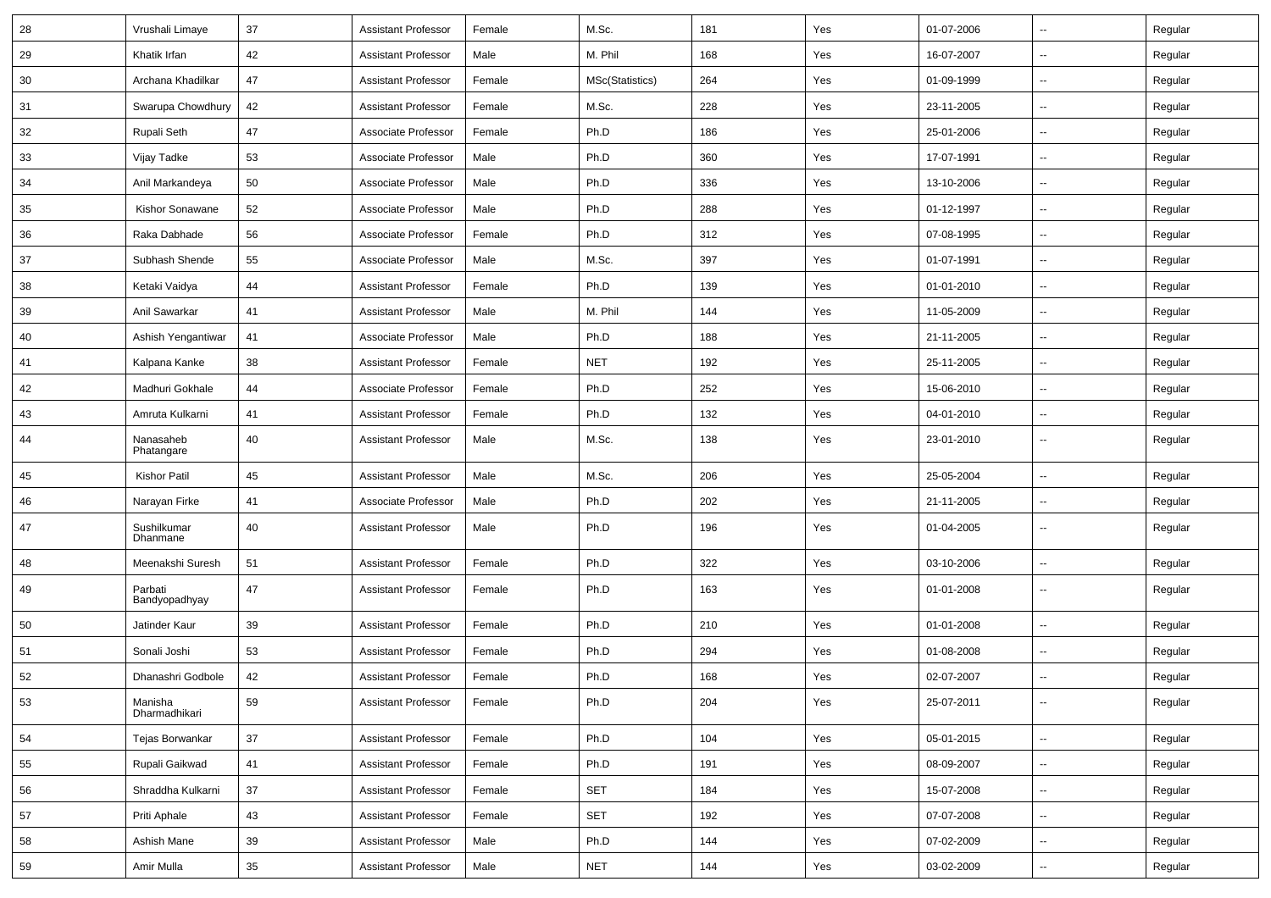| 28 | Vrushali Limaye          | 37 | <b>Assistant Professor</b> | Female | M.Sc.           | 181 | Yes | 01-07-2006 | $\overline{\phantom{a}}$ | Regular |
|----|--------------------------|----|----------------------------|--------|-----------------|-----|-----|------------|--------------------------|---------|
| 29 | Khatik Irfan             | 42 | <b>Assistant Professor</b> | Male   | M. Phil         | 168 | Yes | 16-07-2007 | $\overline{\phantom{a}}$ | Regular |
| 30 | Archana Khadilkar        | 47 | <b>Assistant Professor</b> | Female | MSc(Statistics) | 264 | Yes | 01-09-1999 | --                       | Regular |
| 31 | Swarupa Chowdhury        | 42 | <b>Assistant Professor</b> | Female | M.Sc.           | 228 | Yes | 23-11-2005 | -−                       | Regular |
| 32 | <b>Rupali Seth</b>       | 47 | Associate Professor        | Female | Ph.D            | 186 | Yes | 25-01-2006 | $\overline{\phantom{a}}$ | Regular |
| 33 | Vijay Tadke              | 53 | Associate Professor        | Male   | Ph.D            | 360 | Yes | 17-07-1991 | $\overline{\phantom{a}}$ | Regular |
| 34 | Anil Markandeya          | 50 | Associate Professor        | Male   | Ph.D            | 336 | Yes | 13-10-2006 | $\sim$                   | Regular |
| 35 | Kishor Sonawane          | 52 | Associate Professor        | Male   | Ph.D            | 288 | Yes | 01-12-1997 | ⊷.                       | Regular |
| 36 | Raka Dabhade             | 56 | Associate Professor        | Female | Ph.D            | 312 | Yes | 07-08-1995 | -−                       | Regular |
| 37 | Subhash Shende           | 55 | Associate Professor        | Male   | M.Sc.           | 397 | Yes | 01-07-1991 | -−                       | Regular |
| 38 | Ketaki Vaidya            | 44 | <b>Assistant Professor</b> | Female | Ph.D            | 139 | Yes | 01-01-2010 | --                       | Regular |
| 39 | Anil Sawarkar            | 41 | <b>Assistant Professor</b> | Male   | M. Phil         | 144 | Yes | 11-05-2009 | Ξ.                       | Regular |
| 40 | Ashish Yengantiwar       | 41 | Associate Professor        | Male   | Ph.D            | 188 | Yes | 21-11-2005 | $\overline{\phantom{a}}$ | Regular |
| 41 | Kalpana Kanke            | 38 | <b>Assistant Professor</b> | Female | <b>NET</b>      | 192 | Yes | 25-11-2005 | $\sim$                   | Regular |
| 42 | Madhuri Gokhale          | 44 | Associate Professor        | Female | Ph.D            | 252 | Yes | 15-06-2010 | --                       | Regular |
| 43 | Amruta Kulkarni          | 41 | <b>Assistant Professor</b> | Female | Ph.D            | 132 | Yes | 04-01-2010 | -−                       | Regular |
| 44 | Nanasaheb<br>Phatangare  | 40 | <b>Assistant Professor</b> | Male   | M.Sc.           | 138 | Yes | 23-01-2010 | --                       | Regular |
| 45 | Kishor Patil             | 45 | <b>Assistant Professor</b> | Male   | M.Sc.           | 206 | Yes | 25-05-2004 | $\overline{\phantom{a}}$ | Regular |
| 46 | Narayan Firke            | 41 | Associate Professor        | Male   | Ph.D            | 202 | Yes | 21-11-2005 | -−                       | Regular |
| 47 | Sushilkumar<br>Dhanmane  | 40 | <b>Assistant Professor</b> | Male   | Ph.D            | 196 | Yes | 01-04-2005 | $\overline{\phantom{a}}$ | Regular |
| 48 | Meenakshi Suresh         | 51 | <b>Assistant Professor</b> | Female | Ph.D            | 322 | Yes | 03-10-2006 | Ξ.                       | Regular |
| 49 | Parbati<br>Bandyopadhyay | 47 | <b>Assistant Professor</b> | Female | Ph.D            | 163 | Yes | 01-01-2008 | ⊷.                       | Regular |
| 50 | Jatinder Kaur            | 39 | <b>Assistant Professor</b> | Female | Ph.D            | 210 | Yes | 01-01-2008 | $\overline{\phantom{a}}$ | Regular |
| 51 | Sonali Joshi             | 53 | <b>Assistant Professor</b> | Female | Ph.D            | 294 | Yes | 01-08-2008 | -−                       | Regular |
| 52 | Dhanashri Godbole        | 42 | <b>Assistant Professor</b> | Female | Ph.D            | 168 | Yes | 02-07-2007 | --                       | Regular |
| 53 | Manisha<br>Dharmadhikari | 59 | <b>Assistant Professor</b> | Female | Ph.D            | 204 | Yes | 25-07-2011 | $\overline{\phantom{a}}$ | Regular |
| 54 | Tejas Borwankar          | 37 | <b>Assistant Professor</b> | Female | Ph.D            | 104 | Yes | 05-01-2015 | Щ,                       | Regular |
| 55 | Rupali Gaikwad           | 41 | <b>Assistant Professor</b> | Female | Ph.D            | 191 | Yes | 08-09-2007 | -−                       | Regular |
| 56 | Shraddha Kulkarni        | 37 | <b>Assistant Professor</b> | Female | SET             | 184 | Yes | 15-07-2008 | $\overline{\phantom{a}}$ | Regular |
| 57 | Priti Aphale             | 43 | <b>Assistant Professor</b> | Female | SET             | 192 | Yes | 07-07-2008 | $\overline{\phantom{a}}$ | Regular |
| 58 | Ashish Mane              | 39 | <b>Assistant Professor</b> | Male   | Ph.D            | 144 | Yes | 07-02-2009 | ⊶.                       | Regular |
| 59 | Amir Mulla               | 35 | <b>Assistant Professor</b> | Male   | <b>NET</b>      | 144 | Yes | 03-02-2009 | н,                       | Regular |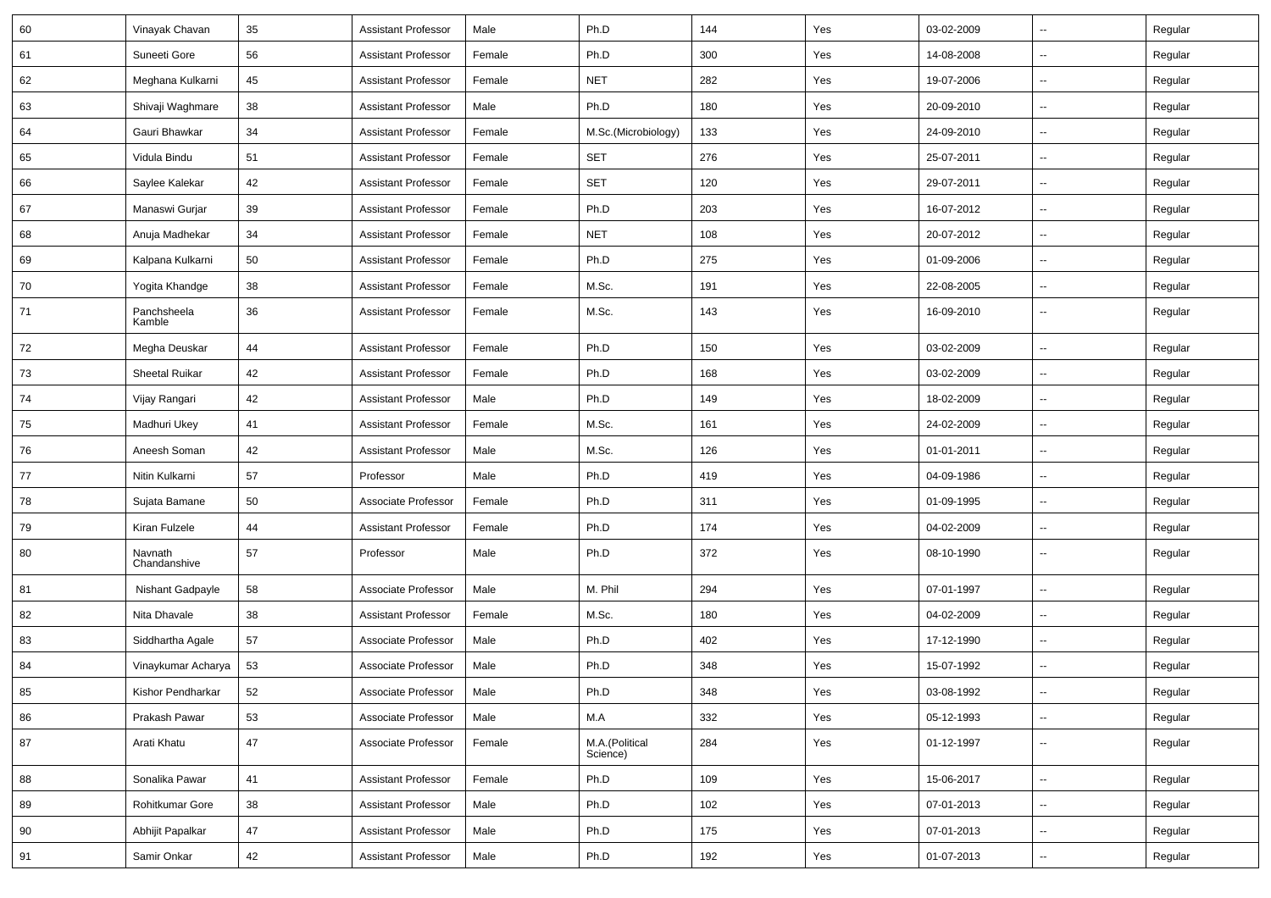| 60 | Vinayak Chavan          | 35 | <b>Assistant Professor</b> | Male   | Ph.D                       | 144 | Yes | 03-02-2009 | $\overline{\phantom{a}}$ | Regular |
|----|-------------------------|----|----------------------------|--------|----------------------------|-----|-----|------------|--------------------------|---------|
| 61 | Suneeti Gore            | 56 | <b>Assistant Professor</b> | Female | Ph.D                       | 300 | Yes | 14-08-2008 | $\sim$                   | Regular |
| 62 | Meghana Kulkarni        | 45 | <b>Assistant Professor</b> | Female | <b>NET</b>                 | 282 | Yes | 19-07-2006 | Ξ.                       | Regular |
| 63 | Shivaji Waghmare        | 38 | <b>Assistant Professor</b> | Male   | Ph.D                       | 180 | Yes | 20-09-2010 | $\overline{\phantom{a}}$ | Regular |
| 64 | Gauri Bhawkar           | 34 | <b>Assistant Professor</b> | Female | M.Sc.(Microbiology)        | 133 | Yes | 24-09-2010 | -−                       | Regular |
| 65 | Vidula Bindu            | 51 | <b>Assistant Professor</b> | Female | SET                        | 276 | Yes | 25-07-2011 | Щ,                       | Regular |
| 66 | Saylee Kalekar          | 42 | <b>Assistant Professor</b> | Female | SET                        | 120 | Yes | 29-07-2011 | $\sim$                   | Regular |
| 67 | Manaswi Gurjar          | 39 | <b>Assistant Professor</b> | Female | Ph.D                       | 203 | Yes | 16-07-2012 | $\sim$                   | Regular |
| 68 | Anuja Madhekar          | 34 | <b>Assistant Professor</b> | Female | <b>NET</b>                 | 108 | Yes | 20-07-2012 | Ξ.                       | Regular |
| 69 | Kalpana Kulkarni        | 50 | <b>Assistant Professor</b> | Female | Ph.D                       | 275 | Yes | 01-09-2006 | -−                       | Regular |
| 70 | Yogita Khandge          | 38 | <b>Assistant Professor</b> | Female | M.Sc.                      | 191 | Yes | 22-08-2005 | -−                       | Regular |
| 71 | Panchsheela<br>Kamble   | 36 | <b>Assistant Professor</b> | Female | M.Sc.                      | 143 | Yes | 16-09-2010 | $\sim$                   | Regular |
| 72 | Megha Deuskar           | 44 | <b>Assistant Professor</b> | Female | Ph.D                       | 150 | Yes | 03-02-2009 | ц.                       | Regular |
| 73 | Sheetal Ruikar          | 42 | <b>Assistant Professor</b> | Female | Ph.D                       | 168 | Yes | 03-02-2009 | Ξ.                       | Regular |
| 74 | Vijay Rangari           | 42 | <b>Assistant Professor</b> | Male   | Ph.D                       | 149 | Yes | 18-02-2009 | ⊷.                       | Regular |
| 75 | Madhuri Ukey            | 41 | <b>Assistant Professor</b> | Female | M.Sc.                      | 161 | Yes | 24-02-2009 | Ξ.                       | Regular |
| 76 | Aneesh Soman            | 42 | <b>Assistant Professor</b> | Male   | M.Sc.                      | 126 | Yes | 01-01-2011 | $\overline{\phantom{a}}$ | Regular |
| 77 | Nitin Kulkarni          | 57 | Professor                  | Male   | Ph.D                       | 419 | Yes | 04-09-1986 | -−                       | Regular |
| 78 | Sujata Bamane           | 50 | Associate Professor        | Female | Ph.D                       | 311 | Yes | 01-09-1995 | Ξ.                       | Regular |
| 79 | Kiran Fulzele           | 44 | <b>Assistant Professor</b> | Female | Ph.D                       | 174 | Yes | 04-02-2009 | $\sim$                   | Regular |
| 80 | Navnath<br>Chandanshive | 57 | Professor                  | Male   | Ph.D                       | 372 | Yes | 08-10-1990 | ⊷.                       | Regular |
| 81 | Nishant Gadpayle        | 58 | Associate Professor        | Male   | M. Phil                    | 294 | Yes | 07-01-1997 | ш.                       | Regular |
| 82 | Nita Dhavale            | 38 | <b>Assistant Professor</b> | Female | M.Sc.                      | 180 | Yes | 04-02-2009 | Ξ.                       | Regular |
| 83 | Siddhartha Agale        | 57 | Associate Professor        | Male   | Ph.D                       | 402 | Yes | 17-12-1990 | -−                       | Regular |
| 84 | Vinaykumar Acharya      | 53 | Associate Professor        | Male   | Ph.D                       | 348 | Yes | 15-07-1992 | -−                       | Regular |
| 85 | Kishor Pendharkar       | 52 | Associate Professor        | Male   | Ph.D                       | 348 | Yes | 03-08-1992 |                          | Regular |
| 86 | Prakash Pawar           | 53 | Associate Professor        | Male   | M.A                        | 332 | Yes | 05-12-1993 | $\overline{\phantom{a}}$ | Regular |
| 87 | Arati Khatu             | 47 | Associate Professor        | Female | M.A.(Political<br>Science) | 284 | Yes | 01-12-1997 | $\sim$                   | Regular |
| 88 | Sonalika Pawar          | 41 | <b>Assistant Professor</b> | Female | Ph.D                       | 109 | Yes | 15-06-2017 | $\overline{\phantom{a}}$ | Regular |
| 89 | Rohitkumar Gore         | 38 | <b>Assistant Professor</b> | Male   | Ph.D                       | 102 | Yes | 07-01-2013 | $\overline{\phantom{a}}$ | Regular |
| 90 | Abhijit Papalkar        | 47 | <b>Assistant Professor</b> | Male   | Ph.D                       | 175 | Yes | 07-01-2013 | $\sim$                   | Regular |
| 91 | Samir Onkar             | 42 | <b>Assistant Professor</b> | Male   | Ph.D                       | 192 | Yes | 01-07-2013 | -−                       | Regular |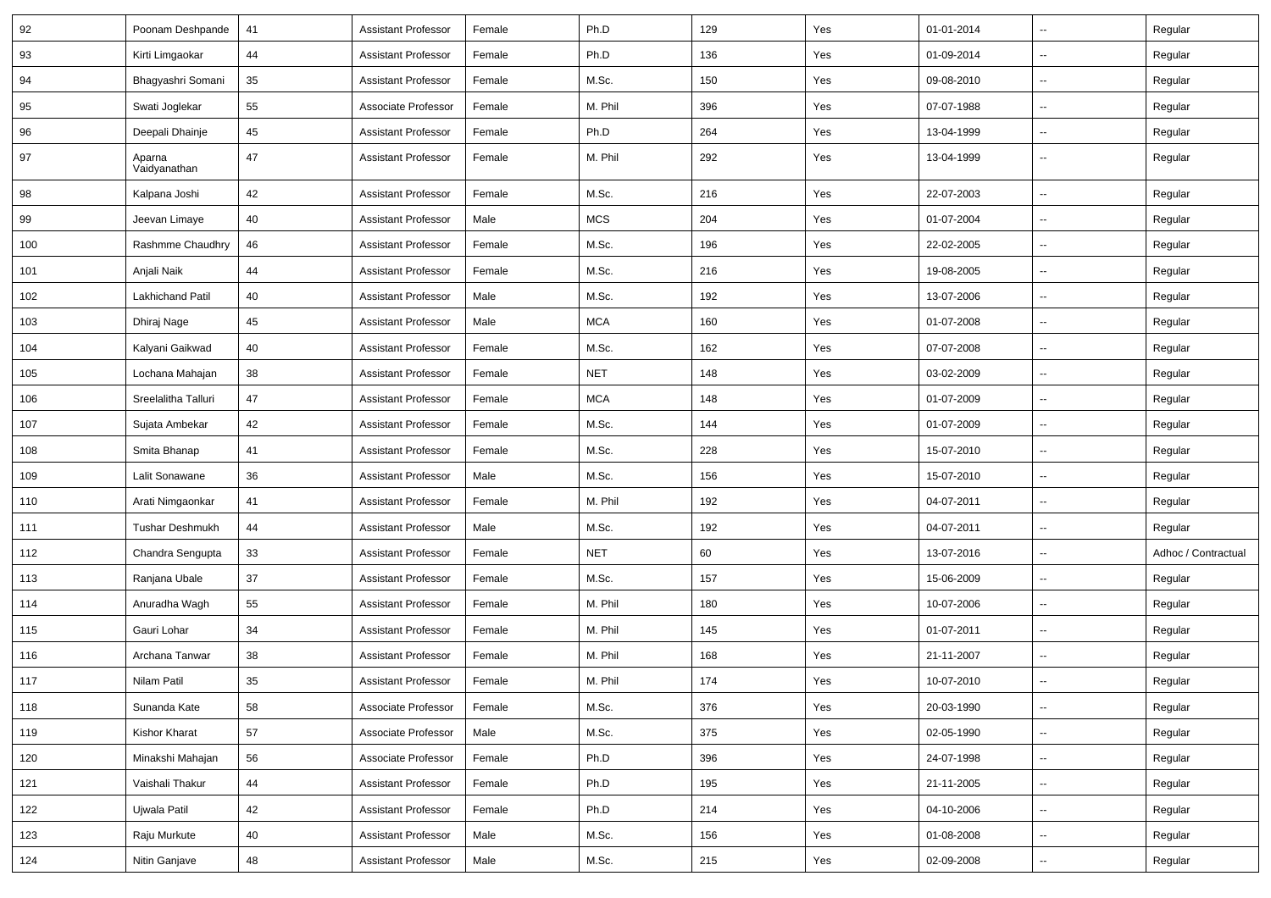| 92  | Poonam Deshpande       | 41 | <b>Assistant Professor</b> | Female | Ph.D       | 129 | Yes | 01-01-2014 | $\overline{\phantom{a}}$ | Regular             |
|-----|------------------------|----|----------------------------|--------|------------|-----|-----|------------|--------------------------|---------------------|
| 93  | Kirti Limgaokar        | 44 | <b>Assistant Professor</b> | Female | Ph.D       | 136 | Yes | 01-09-2014 | н.                       | Regular             |
| 94  | Bhagyashri Somani      | 35 | <b>Assistant Professor</b> | Female | M.Sc.      | 150 | Yes | 09-08-2010 | $\overline{a}$           | Regular             |
| 95  | Swati Joglekar         | 55 | Associate Professor        | Female | M. Phil    | 396 | Yes | 07-07-1988 | --                       | Regular             |
| 96  | Deepali Dhainje        | 45 | <b>Assistant Professor</b> | Female | Ph.D       | 264 | Yes | 13-04-1999 | -−                       | Regular             |
| 97  | Aparna<br>Vaidyanathan | 47 | <b>Assistant Professor</b> | Female | M. Phil    | 292 | Yes | 13-04-1999 | -−                       | Regular             |
| 98  | Kalpana Joshi          | 42 | <b>Assistant Professor</b> | Female | M.Sc.      | 216 | Yes | 22-07-2003 | $\mathbf{u}$             | Regular             |
| 99  | Jeevan Limaye          | 40 | <b>Assistant Professor</b> | Male   | <b>MCS</b> | 204 | Yes | 01-07-2004 | $\overline{\phantom{a}}$ | Regular             |
| 100 | Rashmme Chaudhry       | 46 | <b>Assistant Professor</b> | Female | M.Sc.      | 196 | Yes | 22-02-2005 | -−                       | Regular             |
| 101 | Anjali Naik            | 44 | <b>Assistant Professor</b> | Female | M.Sc.      | 216 | Yes | 19-08-2005 | $\overline{\phantom{a}}$ | Regular             |
| 102 | Lakhichand Patil       | 40 | <b>Assistant Professor</b> | Male   | M.Sc.      | 192 | Yes | 13-07-2006 | --                       | Regular             |
| 103 | Dhiraj Nage            | 45 | <b>Assistant Professor</b> | Male   | <b>MCA</b> | 160 | Yes | 01-07-2008 | -−                       | Regular             |
| 104 | Kalyani Gaikwad        | 40 | <b>Assistant Professor</b> | Female | M.Sc.      | 162 | Yes | 07-07-2008 | $\mathbf{u}$             | Regular             |
| 105 | Lochana Mahajan        | 38 | <b>Assistant Professor</b> | Female | <b>NET</b> | 148 | Yes | 03-02-2009 | $\overline{\phantom{a}}$ | Regular             |
| 106 | Sreelalitha Talluri    | 47 | <b>Assistant Professor</b> | Female | <b>MCA</b> | 148 | Yes | 01-07-2009 | н.                       | Regular             |
| 107 | Sujata Ambekar         | 42 | <b>Assistant Professor</b> | Female | M.Sc.      | 144 | Yes | 01-07-2009 | $\overline{\phantom{a}}$ | Regular             |
| 108 | Smita Bhanap           | 41 | <b>Assistant Professor</b> | Female | M.Sc.      | 228 | Yes | 15-07-2010 | --                       | Regular             |
| 109 | Lalit Sonawane         | 36 | <b>Assistant Professor</b> | Male   | M.Sc.      | 156 | Yes | 15-07-2010 | -−                       | Regular             |
| 110 | Arati Nimgaonkar       | 41 | <b>Assistant Professor</b> | Female | M. Phil    | 192 | Yes | 04-07-2011 | $\overline{a}$           | Regular             |
| 111 | <b>Tushar Deshmukh</b> | 44 | <b>Assistant Professor</b> | Male   | M.Sc.      | 192 | Yes | 04-07-2011 | Ξ.                       | Regular             |
| 112 | Chandra Sengupta       | 33 | <b>Assistant Professor</b> | Female | <b>NET</b> | 60  | Yes | 13-07-2016 | н.                       | Adhoc / Contractual |
| 113 | Ranjana Ubale          | 37 | <b>Assistant Professor</b> | Female | M.Sc.      | 157 | Yes | 15-06-2009 | --                       | Regular             |
| 114 | Anuradha Wagh          | 55 | <b>Assistant Professor</b> | Female | M. Phil    | 180 | Yes | 10-07-2006 | --                       | Regular             |
| 115 | Gauri Lohar            | 34 | <b>Assistant Professor</b> | Female | M. Phil    | 145 | Yes | 01-07-2011 | --                       | Regular             |
| 116 | Archana Tanwar         | 38 | <b>Assistant Professor</b> | Female | M. Phil    | 168 | Yes | 21-11-2007 | ۵.                       | Regular             |
| 117 | <b>Nilam Patil</b>     | 35 | <b>Assistant Professor</b> | Female | M. Phil    | 174 | Yes | 10-07-2010 | -−                       | Regular             |
| 118 | Sunanda Kate           | 58 | Associate Professor        | Female | M.Sc.      | 376 | Yes | 20-03-1990 | $\sim$                   | Regular             |
| 119 | Kishor Kharat          | 57 | Associate Professor        | Male   | M.Sc.      | 375 | Yes | 02-05-1990 | щ.                       | Regular             |
| 120 | Minakshi Mahajan       | 56 | Associate Professor        | Female | Ph.D       | 396 | Yes | 24-07-1998 | $\sim$                   | Regular             |
| 121 | Vaishali Thakur        | 44 | <b>Assistant Professor</b> | Female | Ph.D       | 195 | Yes | 21-11-2005 | -−                       | Regular             |
| 122 | Ujwala Patil           | 42 | <b>Assistant Professor</b> | Female | Ph.D       | 214 | Yes | 04-10-2006 | ц.                       | Regular             |
| 123 | Raju Murkute           | 40 | <b>Assistant Professor</b> | Male   | M.Sc.      | 156 | Yes | 01-08-2008 | $\sim$                   | Regular             |
| 124 | Nitin Ganjave          | 48 | <b>Assistant Professor</b> | Male   | M.Sc.      | 215 | Yes | 02-09-2008 | ₩,                       | Regular             |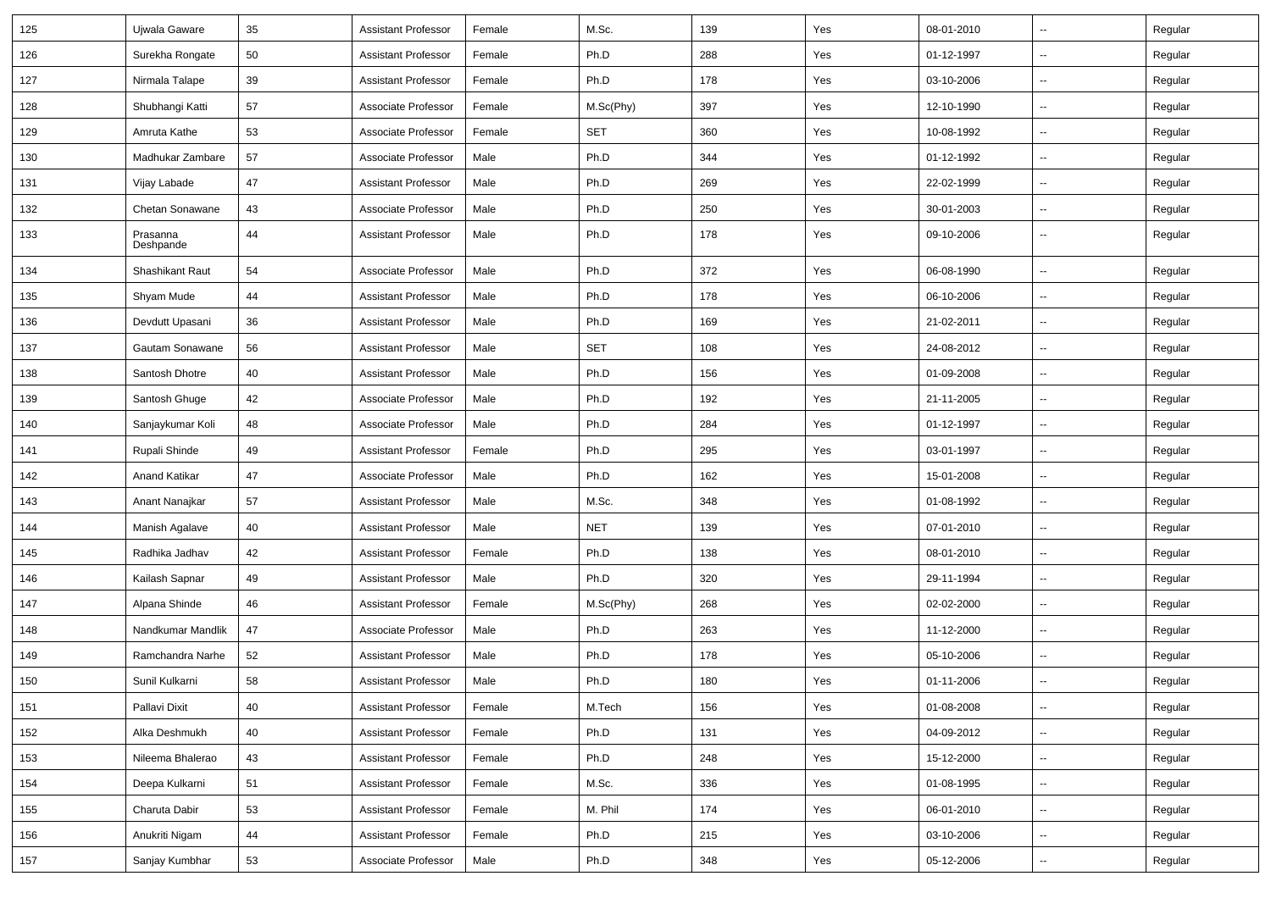| 125 | Ujwala Gaware         | 35 | <b>Assistant Professor</b> | Female | M.Sc.      | 139 | Yes | 08-01-2010 | $\overline{\phantom{a}}$ | Regular |
|-----|-----------------------|----|----------------------------|--------|------------|-----|-----|------------|--------------------------|---------|
| 126 | Surekha Rongate       | 50 | <b>Assistant Professor</b> | Female | Ph.D       | 288 | Yes | 01-12-1997 | ⊷.                       | Regular |
| 127 | Nirmala Talape        | 39 | <b>Assistant Professor</b> | Female | Ph.D       | 178 | Yes | 03-10-2006 | $\sim$                   | Regular |
| 128 | Shubhangi Katti       | 57 | Associate Professor        | Female | M.Sc(Phy)  | 397 | Yes | 12-10-1990 | --                       | Regular |
| 129 | Amruta Kathe          | 53 | Associate Professor        | Female | <b>SET</b> | 360 | Yes | 10-08-1992 | -−                       | Regular |
| 130 | Madhukar Zambare      | 57 | Associate Professor        | Male   | Ph.D       | 344 | Yes | 01-12-1992 | $\overline{\phantom{a}}$ | Regular |
| 131 | Vijay Labade          | 47 | <b>Assistant Professor</b> | Male   | Ph.D       | 269 | Yes | 22-02-1999 | $\overline{\phantom{a}}$ | Regular |
| 132 | Chetan Sonawane       | 43 | Associate Professor        | Male   | Ph.D       | 250 | Yes | 30-01-2003 | ⊷.                       | Regular |
| 133 | Prasanna<br>Deshpande | 44 | <b>Assistant Professor</b> | Male   | Ph.D       | 178 | Yes | 09-10-2006 | $\overline{\phantom{a}}$ | Regular |
| 134 | Shashikant Raut       | 54 | Associate Professor        | Male   | Ph.D       | 372 | Yes | 06-08-1990 | Ξ.                       | Regular |
| 135 | Shyam Mude            | 44 | <b>Assistant Professor</b> | Male   | Ph.D       | 178 | Yes | 06-10-2006 | --                       | Regular |
| 136 | Devdutt Upasani       | 36 | <b>Assistant Professor</b> | Male   | Ph.D       | 169 | Yes | 21-02-2011 | -−                       | Regular |
| 137 | Gautam Sonawane       | 56 | <b>Assistant Professor</b> | Male   | <b>SET</b> | 108 | Yes | 24-08-2012 | $\mathbf{u}$             | Regular |
| 138 | Santosh Dhotre        | 40 | <b>Assistant Professor</b> | Male   | Ph.D       | 156 | Yes | 01-09-2008 | $\overline{\phantom{a}}$ | Regular |
| 139 | Santosh Ghuge         | 42 | Associate Professor        | Male   | Ph.D       | 192 | Yes | 21-11-2005 | ⊷.                       | Regular |
| 140 | Sanjaykumar Koli      | 48 | Associate Professor        | Male   | Ph.D       | 284 | Yes | 01-12-1997 | $\overline{\phantom{a}}$ | Regular |
| 141 | Rupali Shinde         | 49 | <b>Assistant Professor</b> | Female | Ph.D       | 295 | Yes | 03-01-1997 | --                       | Regular |
| 142 | Anand Katikar         | 47 | Associate Professor        | Male   | Ph.D       | 162 | Yes | 15-01-2008 | -−                       | Regular |
| 143 | Anant Nanajkar        | 57 | <b>Assistant Professor</b> | Male   | M.Sc.      | 348 | Yes | 01-08-1992 | --                       | Regular |
| 144 | Manish Agalave        | 40 | <b>Assistant Professor</b> | Male   | <b>NET</b> | 139 | Yes | 07-01-2010 | $\overline{\phantom{a}}$ | Regular |
| 145 | Radhika Jadhav        | 42 | <b>Assistant Professor</b> | Female | Ph.D       | 138 | Yes | 08-01-2010 | $\overline{\phantom{a}}$ | Regular |
| 146 | Kailash Sapnar        | 49 | <b>Assistant Professor</b> | Male   | Ph.D       | 320 | Yes | 29-11-1994 | --                       | Regular |
| 147 | Alpana Shinde         | 46 | <b>Assistant Professor</b> | Female | M.Sc(Phy)  | 268 | Yes | 02-02-2000 | --                       | Regular |
| 148 | Nandkumar Mandlik     | 47 | Associate Professor        | Male   | Ph.D       | 263 | Yes | 11-12-2000 | --                       | Regular |
| 149 | Ramchandra Narhe      | 52 | <b>Assistant Professor</b> | Male   | Ph.D       | 178 | Yes | 05-10-2006 | ۵.                       | Regular |
| 150 | Sunil Kulkarni        | 58 | <b>Assistant Professor</b> | Male   | Ph.D       | 180 | Yes | 01-11-2006 | --                       | Regular |
| 151 | Pallavi Dixit         | 40 | <b>Assistant Professor</b> | Female | M.Tech     | 156 | Yes | 01-08-2008 | $\sim$                   | Regular |
| 152 | Alka Deshmukh         | 40 | <b>Assistant Professor</b> | Female | Ph.D       | 131 | Yes | 04-09-2012 | щ.                       | Regular |
| 153 | Nileema Bhalerao      | 43 | <b>Assistant Professor</b> | Female | Ph.D       | 248 | Yes | 15-12-2000 | $\overline{\phantom{a}}$ | Regular |
| 154 | Deepa Kulkarni        | 51 | <b>Assistant Professor</b> | Female | M.Sc.      | 336 | Yes | 01-08-1995 | -−                       | Regular |
| 155 | Charuta Dabir         | 53 | <b>Assistant Professor</b> | Female | M. Phil    | 174 | Yes | 06-01-2010 | ц.                       | Regular |
| 156 | Anukriti Nigam        | 44 | <b>Assistant Professor</b> | Female | Ph.D       | 215 | Yes | 03-10-2006 | Щ,                       | Regular |
| 157 | Sanjay Kumbhar        | 53 | Associate Professor        | Male   | Ph.D       | 348 | Yes | 05-12-2006 | ₩,                       | Regular |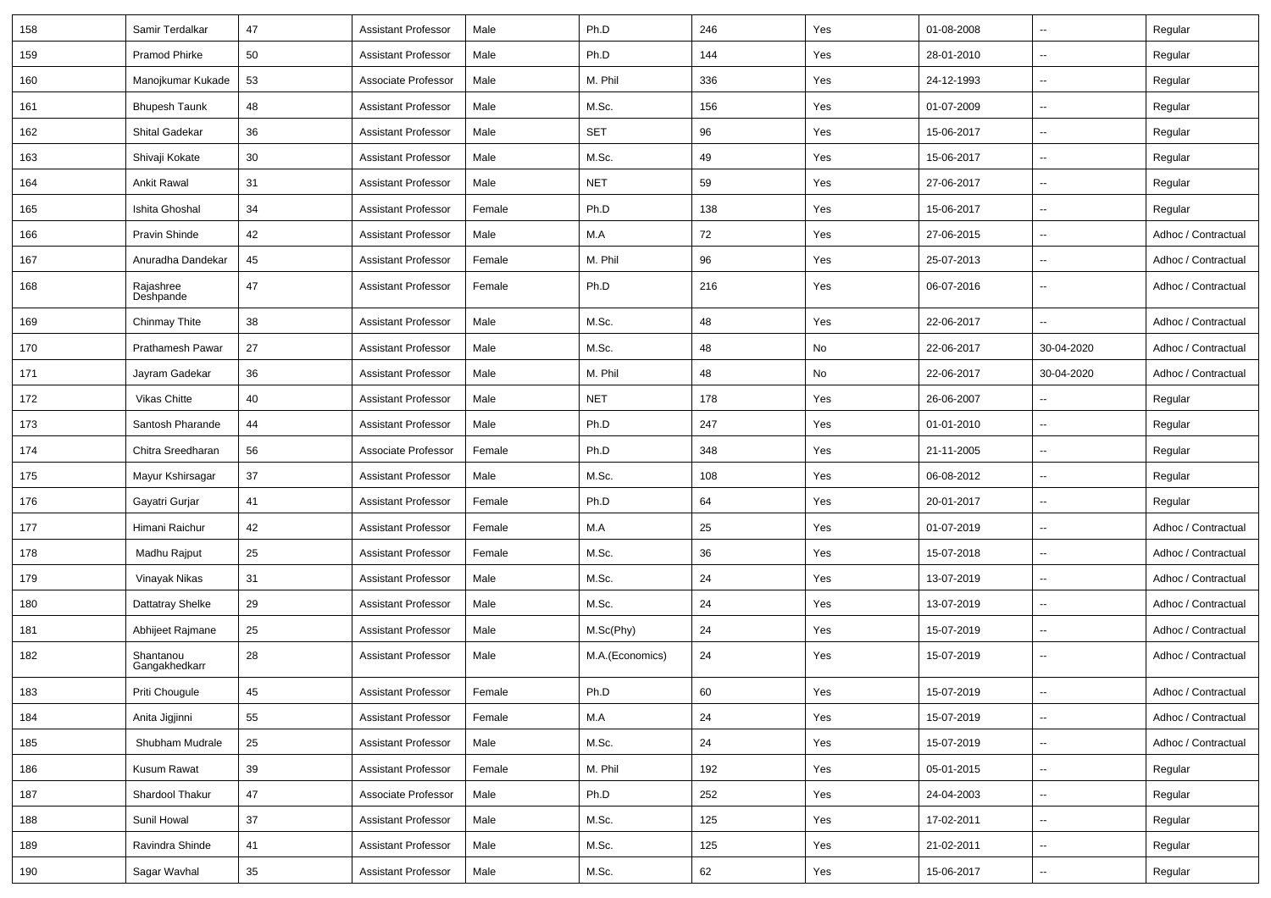| 158 | Samir Terdalkar            | 47 | <b>Assistant Professor</b> | Male   | Ph.D            | 246    | Yes | 01-08-2008 | $\overline{\phantom{a}}$ | Regular             |
|-----|----------------------------|----|----------------------------|--------|-----------------|--------|-----|------------|--------------------------|---------------------|
| 159 | Pramod Phirke              | 50 | <b>Assistant Professor</b> | Male   | Ph.D            | 144    | Yes | 28-01-2010 | u.                       | Regular             |
| 160 | Manojkumar Kukade          | 53 | Associate Professor        | Male   | M. Phil         | 336    | Yes | 24-12-1993 | --                       | Regular             |
| 161 | <b>Bhupesh Taunk</b>       | 48 | <b>Assistant Professor</b> | Male   | M.Sc.           | 156    | Yes | 01-07-2009 | $\overline{\phantom{a}}$ | Regular             |
| 162 | Shital Gadekar             | 36 | <b>Assistant Professor</b> | Male   | <b>SET</b>      | 96     | Yes | 15-06-2017 | $\overline{\phantom{a}}$ | Regular             |
| 163 | Shivaji Kokate             | 30 | <b>Assistant Professor</b> | Male   | M.Sc.           | 49     | Yes | 15-06-2017 |                          | Regular             |
| 164 | <b>Ankit Rawal</b>         | 31 | <b>Assistant Professor</b> | Male   | <b>NET</b>      | 59     | Yes | 27-06-2017 | $\overline{\phantom{a}}$ | Regular             |
| 165 | Ishita Ghoshal             | 34 | <b>Assistant Professor</b> | Female | Ph.D            | 138    | Yes | 15-06-2017 | Ξ.                       | Regular             |
| 166 | Pravin Shinde              | 42 | <b>Assistant Professor</b> | Male   | M.A             | 72     | Yes | 27-06-2015 | u.                       | Adhoc / Contractual |
| 167 | Anuradha Dandekar          | 45 | <b>Assistant Professor</b> | Female | M. Phil         | 96     | Yes | 25-07-2013 | u.                       | Adhoc / Contractual |
| 168 | Rajashree<br>Deshpande     | 47 | <b>Assistant Professor</b> | Female | Ph.D            | 216    | Yes | 06-07-2016 | $\overline{\phantom{a}}$ | Adhoc / Contractual |
| 169 | Chinmay Thite              | 38 | <b>Assistant Professor</b> | Male   | M.Sc.           | 48     | Yes | 22-06-2017 | $\overline{\phantom{a}}$ | Adhoc / Contractual |
| 170 | Prathamesh Pawar           | 27 | <b>Assistant Professor</b> | Male   | M.Sc.           | 48     | No  | 22-06-2017 | 30-04-2020               | Adhoc / Contractual |
| 171 | Jayram Gadekar             | 36 | <b>Assistant Professor</b> | Male   | M. Phil         | 48     | No  | 22-06-2017 | 30-04-2020               | Adhoc / Contractual |
| 172 | Vikas Chitte               | 40 | <b>Assistant Professor</b> | Male   | <b>NET</b>      | 178    | Yes | 26-06-2007 | $\overline{\phantom{a}}$ | Regular             |
| 173 | Santosh Pharande           | 44 | <b>Assistant Professor</b> | Male   | Ph.D            | 247    | Yes | 01-01-2010 | $\overline{\phantom{a}}$ | Regular             |
| 174 | Chitra Sreedharan          | 56 | Associate Professor        | Female | Ph.D            | 348    | Yes | 21-11-2005 | u.                       | Regular             |
| 175 | Mayur Kshirsagar           | 37 | <b>Assistant Professor</b> | Male   | M.Sc.           | 108    | Yes | 06-08-2012 | $\overline{\phantom{a}}$ | Regular             |
| 176 | Gayatri Gurjar             | 41 | <b>Assistant Professor</b> | Female | Ph.D            | 64     | Yes | 20-01-2017 | $\overline{\phantom{a}}$ | Regular             |
| 177 | Himani Raichur             | 42 | <b>Assistant Professor</b> | Female | M.A             | 25     | Yes | 01-07-2019 | $\overline{\phantom{a}}$ | Adhoc / Contractual |
| 178 | Madhu Rajput               | 25 | <b>Assistant Professor</b> | Female | M.Sc.           | 36     | Yes | 15-07-2018 | u.                       | Adhoc / Contractual |
| 179 | Vinayak Nikas              | 31 | <b>Assistant Professor</b> | Male   | M.Sc.           | 24     | Yes | 13-07-2019 | $\overline{\phantom{a}}$ | Adhoc / Contractual |
| 180 | Dattatray Shelke           | 29 | <b>Assistant Professor</b> | Male   | M.Sc.           | 24     | Yes | 13-07-2019 |                          | Adhoc / Contractual |
| 181 | Abhijeet Rajmane           | 25 | <b>Assistant Professor</b> | Male   | M.Sc(Phy)       | 24     | Yes | 15-07-2019 | --                       | Adhoc / Contractual |
| 182 | Shantanou<br>Gangakhedkarr | 28 | <b>Assistant Professor</b> | Male   | M.A.(Economics) | 24     | Yes | 15-07-2019 |                          | Adhoc / Contractual |
| 183 | Priti Chougule             | 45 | Assistant Professor        | Female | Ph.D            | $60\,$ | Yes | 15-07-2019 |                          | Adhoc / Contractual |
| 184 | Anita Jigjinni             | 55 | <b>Assistant Professor</b> | Female | M.A             | 24     | Yes | 15-07-2019 | $\overline{\phantom{a}}$ | Adhoc / Contractual |
| 185 | Shubham Mudrale            | 25 | <b>Assistant Professor</b> | Male   | M.Sc.           | 24     | Yes | 15-07-2019 | $\overline{\phantom{a}}$ | Adhoc / Contractual |
| 186 | Kusum Rawat                | 39 | <b>Assistant Professor</b> | Female | M. Phil         | 192    | Yes | 05-01-2015 | Ξ.                       | Regular             |
| 187 | Shardool Thakur            | 47 | Associate Professor        | Male   | Ph.D            | 252    | Yes | 24-04-2003 | Ξ.                       | Regular             |
| 188 | Sunil Howal                | 37 | <b>Assistant Professor</b> | Male   | M.Sc.           | 125    | Yes | 17-02-2011 | --                       | Regular             |
| 189 | Ravindra Shinde            | 41 | <b>Assistant Professor</b> | Male   | M.Sc.           | 125    | Yes | 21-02-2011 | ۰.                       | Regular             |
| 190 | Sagar Wavhal               | 35 | <b>Assistant Professor</b> | Male   | M.Sc.           | 62     | Yes | 15-06-2017 | $\overline{\phantom{a}}$ | Regular             |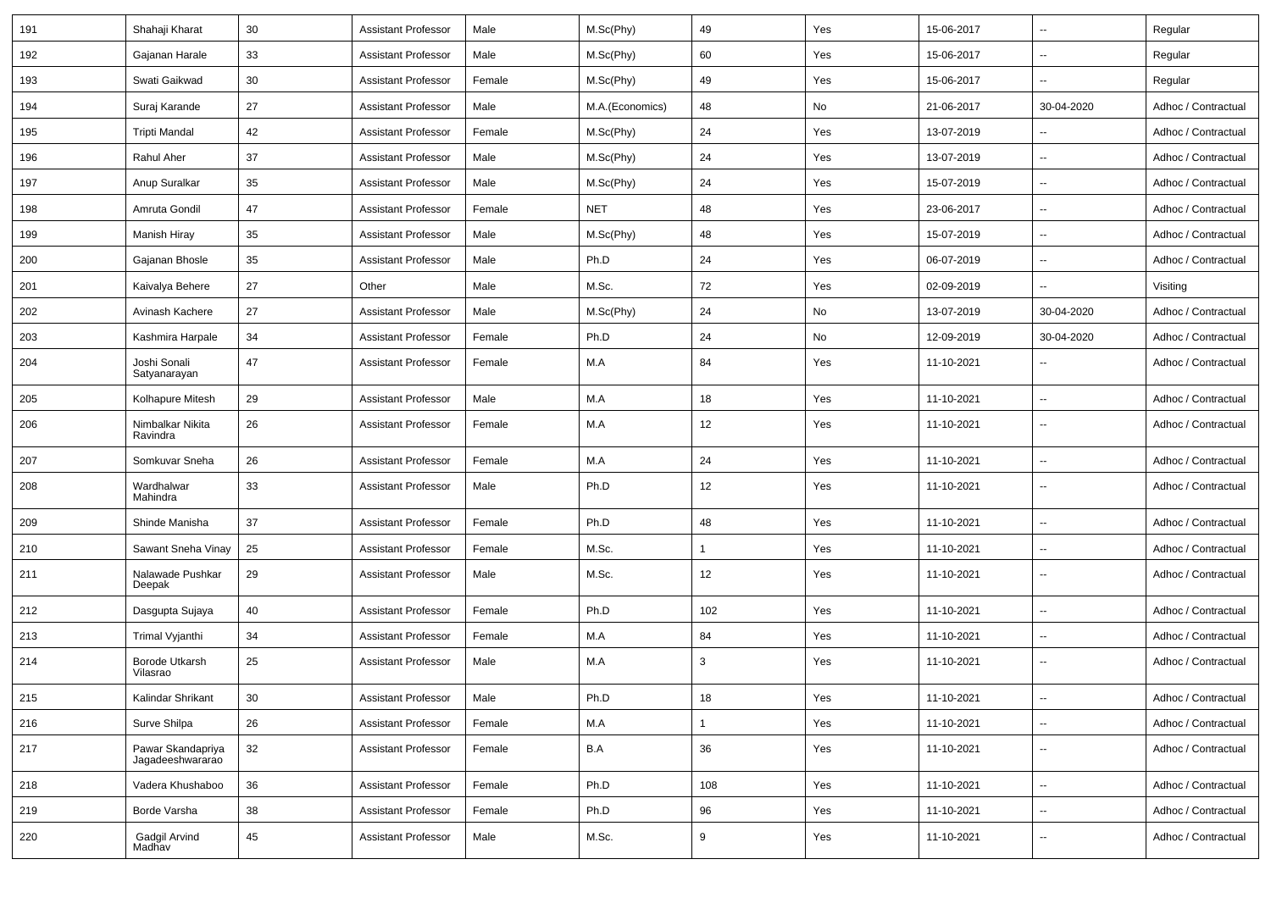| 191 | Shahaji Kharat                        | 30 | <b>Assistant Professor</b> | Male   | M.Sc(Phy)       | 49  | Yes | 15-06-2017 | $\overline{\phantom{a}}$ | Regular             |
|-----|---------------------------------------|----|----------------------------|--------|-----------------|-----|-----|------------|--------------------------|---------------------|
| 192 | Gajanan Harale                        | 33 | <b>Assistant Professor</b> | Male   | M.Sc(Phy)       | 60  | Yes | 15-06-2017 | $\overline{\phantom{a}}$ | Regular             |
| 193 | Swati Gaikwad                         | 30 | <b>Assistant Professor</b> | Female | M.Sc(Phy)       | 49  | Yes | 15-06-2017 | $\overline{\phantom{a}}$ | Regular             |
| 194 | Suraj Karande                         | 27 | <b>Assistant Professor</b> | Male   | M.A.(Economics) | 48  | No  | 21-06-2017 | 30-04-2020               | Adhoc / Contractual |
| 195 | <b>Tripti Mandal</b>                  | 42 | <b>Assistant Professor</b> | Female | M.Sc(Phy)       | 24  | Yes | 13-07-2019 | --                       | Adhoc / Contractual |
| 196 | Rahul Aher                            | 37 | <b>Assistant Professor</b> | Male   | M.Sc(Phy)       | 24  | Yes | 13-07-2019 | $\ddotsc$                | Adhoc / Contractual |
| 197 | Anup Suralkar                         | 35 | <b>Assistant Professor</b> | Male   | M.Sc(Phy)       | 24  | Yes | 15-07-2019 | $\overline{\phantom{a}}$ | Adhoc / Contractual |
| 198 | Amruta Gondil                         | 47 | <b>Assistant Professor</b> | Female | <b>NET</b>      | 48  | Yes | 23-06-2017 | $\overline{\phantom{a}}$ | Adhoc / Contractual |
| 199 | Manish Hiray                          | 35 | <b>Assistant Professor</b> | Male   | M.Sc(Phy)       | 48  | Yes | 15-07-2019 | $\overline{\phantom{a}}$ | Adhoc / Contractual |
| 200 | Gajanan Bhosle                        | 35 | <b>Assistant Professor</b> | Male   | Ph.D            | 24  | Yes | 06-07-2019 | --                       | Adhoc / Contractual |
| 201 | Kaivalya Behere                       | 27 | Other                      | Male   | M.Sc.           | 72  | Yes | 02-09-2019 | Ξ.                       | Visiting            |
| 202 | Avinash Kachere                       | 27 | <b>Assistant Professor</b> | Male   | M.Sc(Phy)       | 24  | No  | 13-07-2019 | 30-04-2020               | Adhoc / Contractual |
| 203 | Kashmira Harpale                      | 34 | <b>Assistant Professor</b> | Female | Ph.D            | 24  | No  | 12-09-2019 | 30-04-2020               | Adhoc / Contractual |
| 204 | Joshi Sonali<br>Satyanarayan          | 47 | <b>Assistant Professor</b> | Female | M.A             | 84  | Yes | 11-10-2021 | $\overline{\phantom{a}}$ | Adhoc / Contractual |
| 205 | Kolhapure Mitesh                      | 29 | <b>Assistant Professor</b> | Male   | M.A             | 18  | Yes | 11-10-2021 | $\overline{\phantom{a}}$ | Adhoc / Contractual |
| 206 | Nimbalkar Nikita<br>Ravindra          | 26 | <b>Assistant Professor</b> | Female | M.A             | 12  | Yes | 11-10-2021 | $\sim$                   | Adhoc / Contractual |
| 207 | Somkuvar Sneha                        | 26 | <b>Assistant Professor</b> | Female | M.A             | 24  | Yes | 11-10-2021 | $\ddotsc$                | Adhoc / Contractual |
| 208 | Wardhalwar<br>Mahindra                | 33 | <b>Assistant Professor</b> | Male   | Ph.D            | 12  | Yes | 11-10-2021 | $\overline{\phantom{a}}$ | Adhoc / Contractual |
| 209 | Shinde Manisha                        | 37 | <b>Assistant Professor</b> | Female | Ph.D            | 48  | Yes | 11-10-2021 | $\overline{\phantom{a}}$ | Adhoc / Contractual |
| 210 | Sawant Sneha Vinay                    | 25 | <b>Assistant Professor</b> | Female | M.Sc.           | 1   | Yes | 11-10-2021 | $\sim$                   | Adhoc / Contractual |
| 211 | Nalawade Pushkar<br>Deepak            | 29 | <b>Assistant Professor</b> | Male   | M.Sc.           | 12  | Yes | 11-10-2021 | $\ddotsc$                | Adhoc / Contractual |
| 212 | Dasgupta Sujaya                       | 40 | <b>Assistant Professor</b> | Female | Ph.D            | 102 | Yes | 11-10-2021 | $\sim$                   | Adhoc / Contractual |
| 213 | Trimal Vyjanthi                       | 34 | <b>Assistant Professor</b> | Female | M.A             | 84  | Yes | 11-10-2021 | $\sim$                   | Adhoc / Contractual |
| 214 | Borode Utkarsh<br>Vilasrao            | 25 | <b>Assistant Professor</b> | Male   | M.A             | 3   | Yes | 11-10-2021 | $\overline{\phantom{a}}$ | Adhoc / Contractual |
| 215 | Kalindar Shrikant                     | 30 | <b>Assistant Professor</b> | Male   | Ph.D            | 18  | Yes | 11-10-2021 | $\sim$                   | Adhoc / Contractual |
| 216 | Surve Shilpa                          | 26 | <b>Assistant Professor</b> | Female | M.A             | 1   | Yes | 11-10-2021 | $\sim$                   | Adhoc / Contractual |
| 217 | Pawar Skandapriya<br>Jagadeeshwararao | 32 | <b>Assistant Professor</b> | Female | B.A             | 36  | Yes | 11-10-2021 | $\sim$                   | Adhoc / Contractual |
| 218 | Vadera Khushaboo                      | 36 | <b>Assistant Professor</b> | Female | Ph.D            | 108 | Yes | 11-10-2021 | $\sim$                   | Adhoc / Contractual |
| 219 | Borde Varsha                          | 38 | <b>Assistant Professor</b> | Female | Ph.D            | 96  | Yes | 11-10-2021 | $\overline{\phantom{a}}$ | Adhoc / Contractual |
| 220 | Gadgil Arvind<br>Madhav               | 45 | <b>Assistant Professor</b> | Male   | M.Sc.           | 9   | Yes | 11-10-2021 | $\overline{\phantom{a}}$ | Adhoc / Contractual |